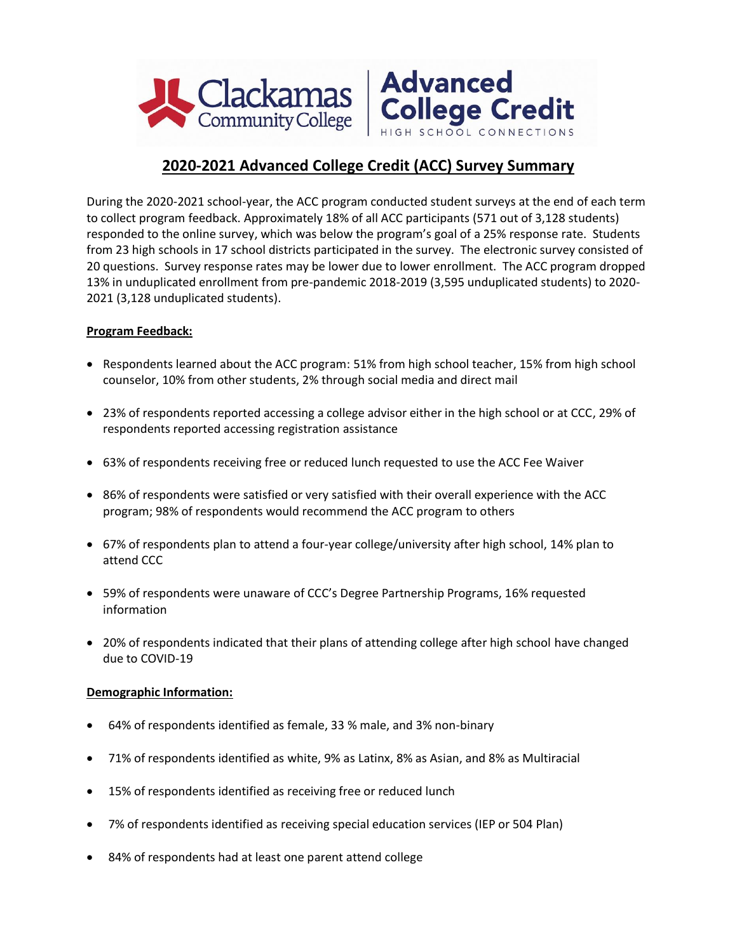



## **2020-2021 Advanced College Credit (ACC) Survey Summary**

During the 2020-2021 school-year, the ACC program conducted student surveys at the end of each term to collect program feedback. Approximately 18% of all ACC participants (571 out of 3,128 students) responded to the online survey, which was below the program's goal of a 25% response rate. Students from 23 high schools in 17 school districts participated in the survey. The electronic survey consisted of 20 questions. Survey response rates may be lower due to lower enrollment. The ACC program dropped 13% in unduplicated enrollment from pre-pandemic 2018-2019 (3,595 unduplicated students) to 2020- 2021 (3,128 unduplicated students).

## **Program Feedback:**

- Respondents learned about the ACC program: 51% from high school teacher, 15% from high school counselor, 10% from other students, 2% through social media and direct mail
- 23% of respondents reported accessing a college advisor either in the high school or at CCC, 29% of respondents reported accessing registration assistance
- 63% of respondents receiving free or reduced lunch requested to use the ACC Fee Waiver
- 86% of respondents were satisfied or very satisfied with their overall experience with the ACC program; 98% of respondents would recommend the ACC program to others
- 67% of respondents plan to attend a four-year college/university after high school, 14% plan to attend CCC
- 59% of respondents were unaware of CCC's Degree Partnership Programs, 16% requested information
- 20% of respondents indicated that their plans of attending college after high school have changed due to COVID-19

## **Demographic Information:**

- 64% of respondents identified as female, 33 % male, and 3% non-binary
- 71% of respondents identified as white, 9% as Latinx, 8% as Asian, and 8% as Multiracial
- 15% of respondents identified as receiving free or reduced lunch
- 7% of respondents identified as receiving special education services (IEP or 504 Plan)
- 84% of respondents had at least one parent attend college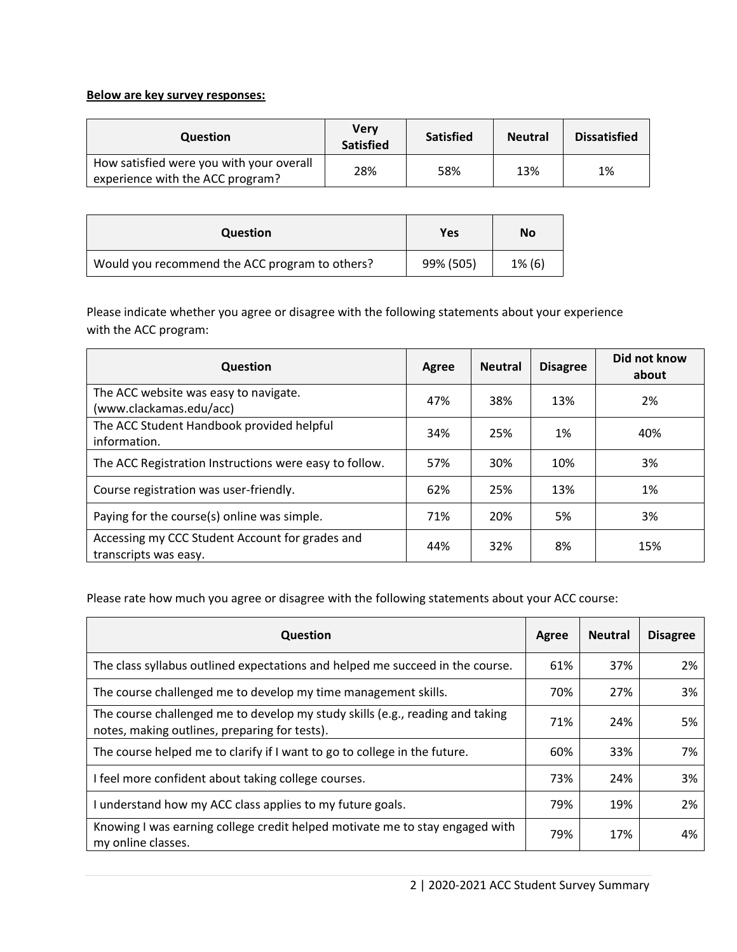## **Below are key survey responses:**

| <b>Question</b>                                                              | Verv<br><b>Satisfied</b> | <b>Satisfied</b> | <b>Neutral</b> | <b>Dissatisfied</b> |
|------------------------------------------------------------------------------|--------------------------|------------------|----------------|---------------------|
| How satisfied were you with your overall<br>experience with the ACC program? | 28%                      | 58%              | 13%            | 1%                  |

| <b>Question</b>                                | Yes       | No        |
|------------------------------------------------|-----------|-----------|
| Would you recommend the ACC program to others? | 99% (505) | $1\%$ (6) |

Please indicate whether you agree or disagree with the following statements about your experience with the ACC program:

| <b>Question</b>                                                          | Agree | <b>Neutral</b> | <b>Disagree</b> | Did not know<br>about |
|--------------------------------------------------------------------------|-------|----------------|-----------------|-----------------------|
| The ACC website was easy to navigate.<br>(www.clackamas.edu/acc)         | 47%   | 38%            | 13%             | 2%                    |
| The ACC Student Handbook provided helpful<br>information.                | 34%   | 25%            | 1%              | 40%                   |
| The ACC Registration Instructions were easy to follow.                   | 57%   | 30%            | 10%             | 3%                    |
| Course registration was user-friendly.                                   | 62%   | 25%            | 13%             | 1%                    |
| Paying for the course(s) online was simple.                              | 71%   | 20%            | 5%              | 3%                    |
| Accessing my CCC Student Account for grades and<br>transcripts was easy. | 44%   | 32%            | 8%              | 15%                   |

Please rate how much you agree or disagree with the following statements about your ACC course:

| Question                                                                                                                       | Agree | <b>Neutral</b> | <b>Disagree</b> |
|--------------------------------------------------------------------------------------------------------------------------------|-------|----------------|-----------------|
| The class syllabus outlined expectations and helped me succeed in the course.                                                  | 61%   | 37%            | 2%              |
| The course challenged me to develop my time management skills.                                                                 | 70%   | 27%            | 3%              |
| The course challenged me to develop my study skills (e.g., reading and taking<br>notes, making outlines, preparing for tests). | 71%   | 24%            | 5%              |
| The course helped me to clarify if I want to go to college in the future.                                                      | 60%   | 33%            | 7%              |
| I feel more confident about taking college courses.                                                                            | 73%   | 24%            | 3%              |
| I understand how my ACC class applies to my future goals.                                                                      | 79%   | 19%            | 2%              |
| Knowing I was earning college credit helped motivate me to stay engaged with<br>my online classes.                             | 79%   | 17%            | 4%              |